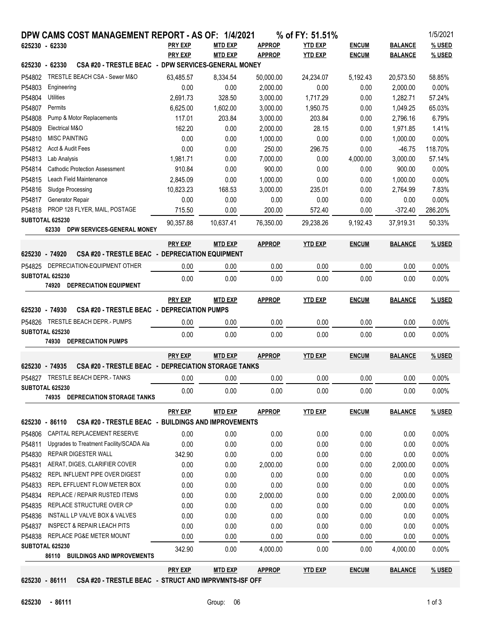| DPW CAMS COST MANAGEMENT REPORT - AS OF: 1/4/2021<br>% of FY: 51.51% |                                        |                                                        |                |                |               |                |              |                | 1/5/2021 |
|----------------------------------------------------------------------|----------------------------------------|--------------------------------------------------------|----------------|----------------|---------------|----------------|--------------|----------------|----------|
| 625230 - 62330                                                       |                                        |                                                        | <b>PRY EXP</b> | <b>MTD EXP</b> | <b>APPROP</b> | <b>YTD EXP</b> | <b>ENCUM</b> | <b>BALANCE</b> | % USED   |
|                                                                      |                                        |                                                        | <b>PRY EXP</b> | <b>MTD EXP</b> | <b>APPROP</b> | <b>YTD EXP</b> | <b>ENCUM</b> | <b>BALANCE</b> | % USED   |
| 625230 - 62330                                                       |                                        | CSA #20 - TRESTLE BEAC - DPW SERVICES-GENERAL MONEY    |                |                |               |                |              |                |          |
| P54802                                                               |                                        | TRESTLE BEACH CSA - Sewer M&O                          | 63,485.57      | 8,334.54       | 50,000.00     | 24,234.07      | 5,192.43     | 20,573.50      | 58.85%   |
| P54803                                                               | Engineering                            |                                                        | 0.00           | 0.00           | 2,000.00      | 0.00           | 0.00         | 2,000.00       | 0.00%    |
| P54804                                                               | Utilities                              |                                                        | 2,691.73       | 328.50         | 3,000.00      | 1,717.29       | 0.00         | 1,282.71       | 57.24%   |
| P54807                                                               | Permits                                |                                                        | 6,625.00       | 1,602.00       | 3,000.00      | 1,950.75       | 0.00         | 1,049.25       | 65.03%   |
| P54808                                                               | Pump & Motor Replacements              |                                                        | 117.01         | 203.84         | 3,000.00      | 203.84         | 0.00         | 2,796.16       | 6.79%    |
| P54809                                                               | Electrical M&O                         |                                                        | 162.20         | 0.00           | 2,000.00      | 28.15          | 0.00         | 1,971.85       | 1.41%    |
| P54810                                                               |                                        | <b>MISC PAINTING</b>                                   | 0.00           | 0.00           | 1,000.00      | 0.00           | 0.00         | 1,000.00       | 0.00%    |
| P54812                                                               |                                        | Acct & Audit Fees                                      | 0.00           | 0.00           | 250.00        | 296.75         | 0.00         | $-46.75$       | 118.70%  |
| P54813                                                               | Lab Analysis                           |                                                        | 1,981.71       | 0.00           | 7,000.00      | 0.00           | 4,000.00     | 3,000.00       | 57.14%   |
| P54814                                                               |                                        | <b>Cathodic Protection Assessment</b>                  | 910.84         | 0.00           | 900.00        | 0.00           | 0.00         | 900.00         | 0.00%    |
| P54815                                                               | Leach Field Maintenance                |                                                        | 2,845.09       | 0.00           | 1,000.00      | 0.00           | 0.00         | 1,000.00       | 0.00%    |
| P54816                                                               | Sludge Processing                      |                                                        | 10,823.23      | 168.53         | 3,000.00      | 235.01         | 0.00         | 2,764.99       | 7.83%    |
| P54817                                                               | Generator Repair                       |                                                        | 0.00           | 0.00           | 0.00          | 0.00           | 0.00         | 0.00           | 0.00%    |
| P54818                                                               |                                        | PROP 128 FLYER, MAIL, POSTAGE                          | 715.50         | 0.00           | 200.00        | 572.40         | 0.00         | $-372.40$      | 286.20%  |
| SUBTOTAL 625230                                                      |                                        | 62330 DPW SERVICES-GENERAL MONEY                       | 90,357.88      | 10,637.41      | 76,350.00     | 29,238.26      | 9,192.43     | 37,919.31      | 50.33%   |
|                                                                      |                                        |                                                        | <b>PRY EXP</b> | <b>MTD EXP</b> | <b>APPROP</b> | <b>YTD EXP</b> | <b>ENCUM</b> | <b>BALANCE</b> | % USED   |
| 625230 - 74920                                                       |                                        | <b>CSA #20 - TRESTLE BEAC - DEPRECIATION EQUIPMENT</b> |                |                |               |                |              |                |          |
|                                                                      |                                        | P54825 DEPRECIATION-EQUIPMENT OTHER                    | 0.00           | 0.00           | 0.00          | 0.00           | 0.00         | 0.00           | 0.00%    |
| SUBTOTAL 625230                                                      |                                        |                                                        | 0.00           | 0.00           | 0.00          | 0.00           | 0.00         | 0.00           | 0.00%    |
|                                                                      |                                        | 74920 DEPRECIATION EQUIPMENT                           |                |                |               |                |              |                |          |
|                                                                      |                                        |                                                        | <b>PRY EXP</b> | <b>MTD EXP</b> | <b>APPROP</b> | <b>YTD EXP</b> | <b>ENCUM</b> | <b>BALANCE</b> | % USED   |
| 625230 - 74930                                                       |                                        | CSA #20 - TRESTLE BEAC - DEPRECIATION PUMPS            |                |                |               |                |              |                |          |
|                                                                      |                                        |                                                        |                |                |               |                |              |                |          |
| SUBTOTAL 625230                                                      |                                        | P54826 TRESTLE BEACH DEPR.- PUMPS                      | 0.00           | 0.00           | 0.00          | 0.00           | 0.00         | 0.00           | 0.00%    |
|                                                                      |                                        | 74930 DEPRECIATION PUMPS                               | 0.00           | 0.00           | 0.00          | 0.00           | 0.00         | 0.00           | 0.00%    |
|                                                                      |                                        |                                                        |                |                |               |                |              |                |          |
|                                                                      |                                        |                                                        | <b>PRY EXP</b> | <b>MTD EXP</b> | <b>APPROP</b> | <b>YTD EXP</b> | <b>ENCUM</b> | <b>BALANCE</b> | % USED   |
| 625230 - 74935                                                       |                                        | CSA #20 - TRESTLE BEAC - DEPRECIATION STORAGE TANKS    |                |                |               |                |              |                |          |
|                                                                      |                                        | P54827 TRESTLE BEACH DEPR.- TANKS                      | 0.00           | 0.00           | 0.00          | 0.00           | 0.00         | 0.00           | 0.00%    |
| SUBTOTAL 625230                                                      |                                        |                                                        | 0.00           | 0.00           | 0.00          | 0.00           | 0.00         | 0.00           | 0.00%    |
|                                                                      | 74935                                  | DEPRECIATION STORAGE TANKS                             |                |                |               |                |              |                |          |
|                                                                      |                                        |                                                        | <b>PRY EXP</b> | <b>MTD EXP</b> | <b>APPROP</b> | <b>YTD EXP</b> | <b>ENCUM</b> | <b>BALANCE</b> | % USED   |
| 625230 - 86110                                                       |                                        | CSA #20 - TRESTLE BEAC - BUILDINGS AND IMPROVEMENTS    |                |                |               |                |              |                |          |
| P54806                                                               |                                        | CAPITAL REPLACEMENT RESERVE                            | 0.00           | 0.00           | 0.00          | 0.00           | 0.00         | 0.00           | $0.00\%$ |
| P54811                                                               |                                        | Upgrades to Treatment Facility/SCADA Ala               | 0.00           | 0.00           | 0.00          | 0.00           | 0.00         | 0.00           | 0.00%    |
| P54830                                                               |                                        | REPAIR DIGESTER WALL                                   | 342.90         | 0.00           | 0.00          | 0.00           | 0.00         | 0.00           | 0.00%    |
| P54831                                                               |                                        | AERAT, DIGES, CLARIFIER COVER                          | 0.00           | 0.00           | 2,000.00      | 0.00           | 0.00         | 2,000.00       | 0.00%    |
| P54832                                                               |                                        | REPL INFLUENT PIPE OVER DIGEST                         | 0.00           | 0.00           | 0.00          | 0.00           | 0.00         | 0.00           | 0.00%    |
| P54833                                                               |                                        | REPL EFFLUENT FLOW METER BOX                           | 0.00           | 0.00           | 0.00          | 0.00           | 0.00         | 0.00           | 0.00%    |
| P54834                                                               | REPLACE / REPAIR RUSTED ITEMS          |                                                        | 0.00           | 0.00           | 2,000.00      | 0.00           | 0.00         | 2,000.00       | 0.00%    |
| P54835                                                               | REPLACE STRUCTURE OVER CP              |                                                        | 0.00           | 0.00           | 0.00          | 0.00           | 0.00         | 0.00           | 0.00%    |
| P54836                                                               | INSTALL LP VALVE BOX & VALVES          |                                                        | 0.00           | 0.00           | 0.00          | 0.00           | 0.00         | 0.00           | 0.00%    |
| P54837                                                               | <b>INSPECT &amp; REPAIR LEACH PITS</b> |                                                        | 0.00           | 0.00           | 0.00          | 0.00           | 0.00         | 0.00           | $0.00\%$ |
| P54838                                                               |                                        | REPLACE PG&E METER MOUNT                               | 0.00           | 0.00           | 0.00          | 0.00           | 0.00         | 0.00           | $0.00\%$ |
| SUBTOTAL 625230                                                      |                                        |                                                        | 342.90         | 0.00           | 4,000.00      | 0.00           | 0.00         | 4,000.00       | 0.00%    |
|                                                                      |                                        | 86110 BUILDINGS AND IMPROVEMENTS                       |                |                |               |                |              |                |          |
|                                                                      |                                        |                                                        | <b>PRY EXP</b> | MTD EXP        | <b>APPROP</b> | <b>YTD EXP</b> | <b>ENCUM</b> | <b>BALANCE</b> | % USED   |

**625230 - 86111 CSA #20 - TRESTLE BEAC - STRUCT AND IMPRVMNTS-ISF OFF**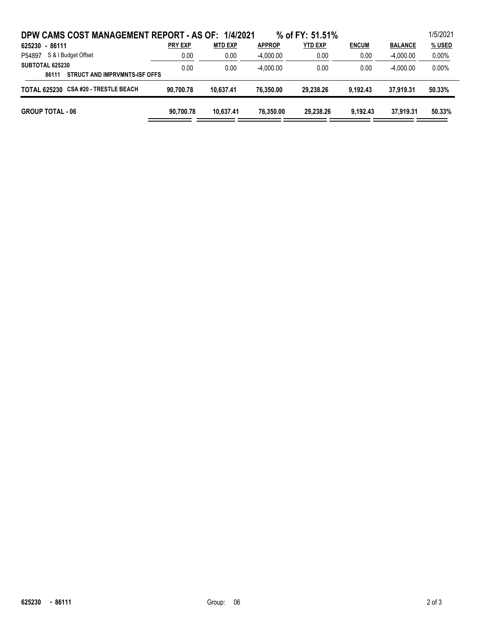| DPW CAMS COST MANAGEMENT REPORT - AS OF: 1/4/2021         |                |                |               | % of FY: 51,51% |              |                | 1/5/2021 |
|-----------------------------------------------------------|----------------|----------------|---------------|-----------------|--------------|----------------|----------|
| 625230 - 86111                                            | <b>PRY EXP</b> | <b>MTD EXP</b> | <b>APPROP</b> | <b>YTD EXP</b>  | <b>ENCUM</b> | <b>BALANCE</b> | % USED   |
| S & I Budget Offset<br>P54897                             | 0.00           | 0.00           | $-4.000.00$   | 0.00            | 0.00         | $-4.000.00$    | $0.00\%$ |
| SUBTOTAL 625230<br>STRUCT AND IMPRVMNTS-ISF OFFS<br>86111 | 0.00           | 0.00           | $-4.000.00$   | 0.00            | 0.00         | $-4.000.00$    | $0.00\%$ |
| TOTAL 625230 CSA #20 - TRESTLE BEACH                      | 90.700.78      | 10.637.41      | 76.350.00     | 29.238.26       | 9.192.43     | 37.919.31      | 50.33%   |
| <b>GROUP TOTAL - 06</b>                                   | 90.700.78      | 10.637.41      | 76.350.00     | 29.238.26       | 9.192.43     | 37.919.31      | 50.33%   |